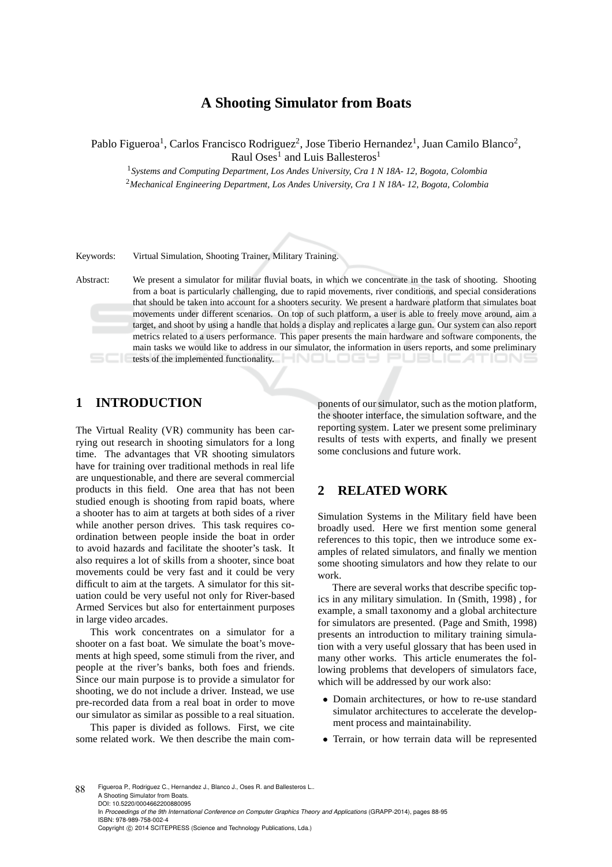# **A Shooting Simulator from Boats**

Pablo Figueroa<sup>1</sup>, Carlos Francisco Rodriguez<sup>2</sup>, Jose Tiberio Hernandez<sup>1</sup>, Juan Camilo Blanco<sup>2</sup>, Raul Oses<sup>1</sup> and Luis Ballesteros<sup>1</sup>

<sup>1</sup>*Systems and Computing Department, Los Andes University, Cra 1 N 18A- 12, Bogota, Colombia* <sup>2</sup>*Mechanical Engineering Department, Los Andes University, Cra 1 N 18A- 12, Bogota, Colombia*

Keywords: Virtual Simulation, Shooting Trainer, Military Training.

Abstract: We present a simulator for militar fluvial boats, in which we concentrate in the task of shooting. Shooting from a boat is particularly challenging, due to rapid movements, river conditions, and special considerations that should be taken into account for a shooters security. We present a hardware platform that simulates boat movements under different scenarios. On top of such platform, a user is able to freely move around, aim a target, and shoot by using a handle that holds a display and replicates a large gun. Our system can also report metrics related to a users performance. This paper presents the main hardware and software components, the main tasks we would like to address in our simulator, the information in users reports, and some preliminary **the implemented functionality.** <u>JELIC 47</u>

# **1 INTRODUCTION**

The Virtual Reality (VR) community has been carrying out research in shooting simulators for a long time. The advantages that VR shooting simulators have for training over traditional methods in real life are unquestionable, and there are several commercial products in this field. One area that has not been studied enough is shooting from rapid boats, where a shooter has to aim at targets at both sides of a river while another person drives. This task requires coordination between people inside the boat in order to avoid hazards and facilitate the shooter's task. It also requires a lot of skills from a shooter, since boat movements could be very fast and it could be very difficult to aim at the targets. A simulator for this situation could be very useful not only for River-based Armed Services but also for entertainment purposes in large video arcades.

This work concentrates on a simulator for a shooter on a fast boat. We simulate the boat's movements at high speed, some stimuli from the river, and people at the river's banks, both foes and friends. Since our main purpose is to provide a simulator for shooting, we do not include a driver. Instead, we use pre-recorded data from a real boat in order to move our simulator as similar as possible to a real situation.

This paper is divided as follows. First, we cite some related work. We then describe the main com-

ponents of our simulator, such as the motion platform, the shooter interface, the simulation software, and the reporting system. Later we present some preliminary results of tests with experts, and finally we present some conclusions and future work.

# **2 RELATED WORK**

Simulation Systems in the Military field have been broadly used. Here we first mention some general references to this topic, then we introduce some examples of related simulators, and finally we mention some shooting simulators and how they relate to our work.

There are several works that describe specific topics in any military simulation. In (Smith, 1998) , for example, a small taxonomy and a global architecture for simulators are presented. (Page and Smith, 1998) presents an introduction to military training simulation with a very useful glossary that has been used in many other works. This article enumerates the following problems that developers of simulators face, which will be addressed by our work also:

- Domain architectures, or how to re-use standard simulator architectures to accelerate the development process and maintainability.
- Terrain, or how terrain data will be represented

88 Figueroa P., Rodriguez C., Hernandez J., Blanco J., Oses R. and Ballesteros L. A Shooting Simulator from Boats. DOI: 10.5220/0004662200880095 In *Proceedings of the 9th International Conference on Computer Graphics Theory and Applications* (GRAPP-2014), pages 88-95 ISBN: 978-989-758-002-4 Copyright © 2014 SCITEPRESS (Science and Technology Publications, Lda.)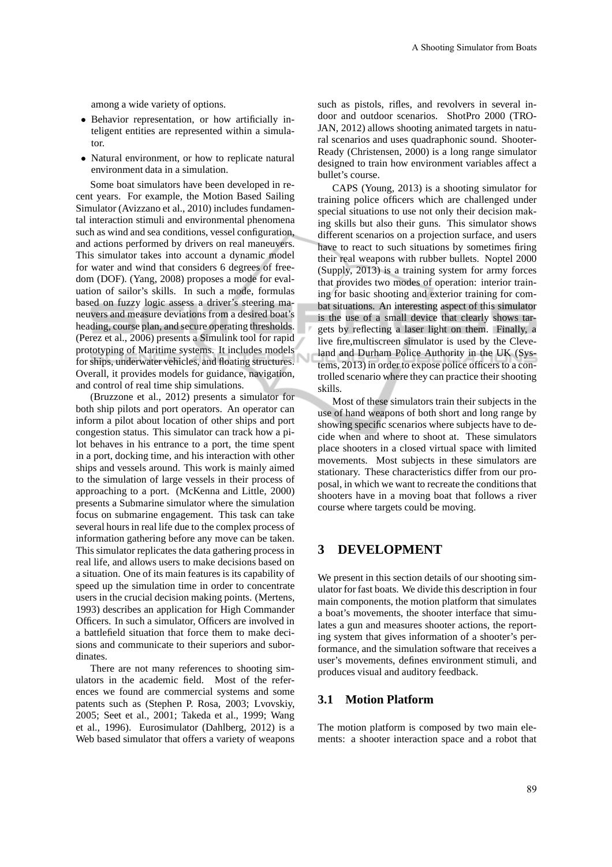among a wide variety of options.

- Behavior representation, or how artificially inteligent entities are represented within a simulator.
- Natural environment, or how to replicate natural environment data in a simulation.

Some boat simulators have been developed in recent years. For example, the Motion Based Sailing Simulator (Avizzano et al., 2010) includes fundamental interaction stimuli and environmental phenomena such as wind and sea conditions, vessel configuration, and actions performed by drivers on real maneuvers. This simulator takes into account a dynamic model for water and wind that considers 6 degrees of freedom (DOF). (Yang, 2008) proposes a mode for evaluation of sailor's skills. In such a mode, formulas based on fuzzy logic assess a driver's steering maneuvers and measure deviations from a desired boat's heading, course plan, and secure operating thresholds. (Perez et al., 2006) presents a Simulink tool for rapid prototyping of Maritime systems. It includes models for ships, underwater vehicles, and floating structures. Overall, it provides models for guidance, navigation, and control of real time ship simulations.

(Bruzzone et al., 2012) presents a simulator for both ship pilots and port operators. An operator can inform a pilot about location of other ships and port congestion status. This simulator can track how a pilot behaves in his entrance to a port, the time spent in a port, docking time, and his interaction with other ships and vessels around. This work is mainly aimed to the simulation of large vessels in their process of approaching to a port. (McKenna and Little, 2000) presents a Submarine simulator where the simulation focus on submarine engagement. This task can take several hours in real life due to the complex process of information gathering before any move can be taken. This simulator replicates the data gathering process in real life, and allows users to make decisions based on a situation. One of its main features is its capability of speed up the simulation time in order to concentrate users in the crucial decision making points. (Mertens, 1993) describes an application for High Commander Officers. In such a simulator, Officers are involved in a battlefield situation that force them to make decisions and communicate to their superiors and subordinates.

There are not many references to shooting simulators in the academic field. Most of the references we found are commercial systems and some patents such as (Stephen P. Rosa, 2003; Lvovskiy, 2005; Seet et al., 2001; Takeda et al., 1999; Wang et al., 1996). Eurosimulator (Dahlberg, 2012) is a Web based simulator that offers a variety of weapons

such as pistols, rifles, and revolvers in several indoor and outdoor scenarios. ShotPro 2000 (TRO-JAN, 2012) allows shooting animated targets in natural scenarios and uses quadraphonic sound. Shooter-Ready (Christensen, 2000) is a long range simulator designed to train how environment variables affect a bullet's course.

CAPS (Young, 2013) is a shooting simulator for training police officers which are challenged under special situations to use not only their decision making skills but also their guns. This simulator shows different scenarios on a projection surface, and users have to react to such situations by sometimes firing their real weapons with rubber bullets. Noptel 2000 (Supply, 2013) is a training system for army forces that provides two modes of operation: interior training for basic shooting and exterior training for combat situations. An interesting aspect of this simulator is the use of a small device that clearly shows targets by reflecting a laser light on them. Finally, a live fire,multiscreen simulator is used by the Cleveland and Durham Police Authority in the UK (Systems, 2013) in order to expose police officers to a controlled scenario where they can practice their shooting skills.

Most of these simulators train their subjects in the use of hand weapons of both short and long range by showing specific scenarios where subjects have to decide when and where to shoot at. These simulators place shooters in a closed virtual space with limited movements. Most subjects in these simulators are stationary. These characteristics differ from our proposal, in which we want to recreate the conditions that shooters have in a moving boat that follows a river course where targets could be moving.

# **3 DEVELOPMENT**

We present in this section details of our shooting simulator for fast boats. We divide this description in four main components, the motion platform that simulates a boat's movements, the shooter interface that simulates a gun and measures shooter actions, the reporting system that gives information of a shooter's performance, and the simulation software that receives a user's movements, defines environment stimuli, and produces visual and auditory feedback.

### **3.1 Motion Platform**

The motion platform is composed by two main elements: a shooter interaction space and a robot that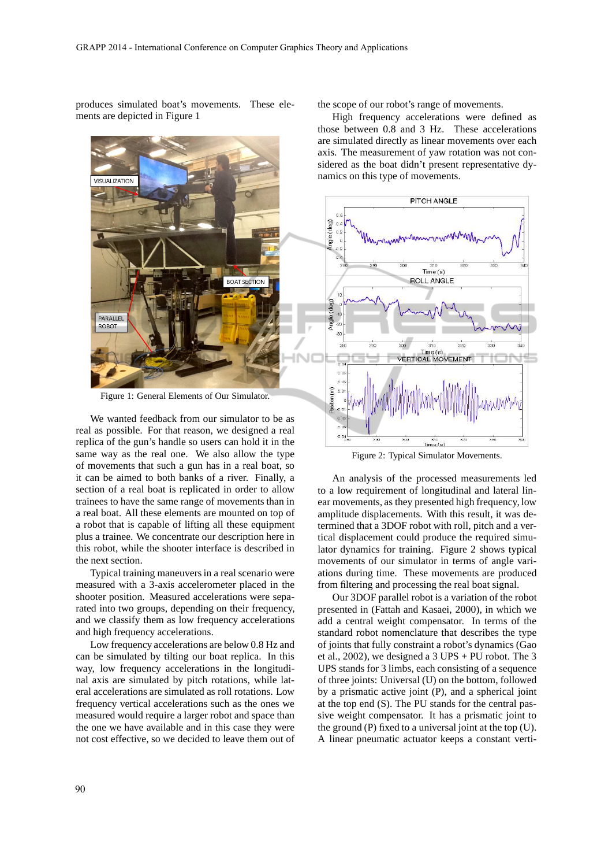produces simulated boat's movements. These elements are depicted in Figure 1



Figure 1: General Elements of Our Simulator.

We wanted feedback from our simulator to be as real as possible. For that reason, we designed a real replica of the gun's handle so users can hold it in the same way as the real one. We also allow the type of movements that such a gun has in a real boat, so it can be aimed to both banks of a river. Finally, a section of a real boat is replicated in order to allow trainees to have the same range of movements than in a real boat. All these elements are mounted on top of a robot that is capable of lifting all these equipment plus a trainee. We concentrate our description here in this robot, while the shooter interface is described in the next section.

Typical training maneuvers in a real scenario were measured with a 3-axis accelerometer placed in the shooter position. Measured accelerations were separated into two groups, depending on their frequency, and we classify them as low frequency accelerations and high frequency accelerations.

Low frequency accelerations are below 0.8 Hz and can be simulated by tilting our boat replica. In this way, low frequency accelerations in the longitudinal axis are simulated by pitch rotations, while lateral accelerations are simulated as roll rotations. Low frequency vertical accelerations such as the ones we measured would require a larger robot and space than the one we have available and in this case they were not cost effective, so we decided to leave them out of the scope of our robot's range of movements.

High frequency accelerations were defined as those between 0.8 and 3 Hz. These accelerations are simulated directly as linear movements over each axis. The measurement of yaw rotation was not considered as the boat didn't present representative dynamics on this type of movements.



Figure 2: Typical Simulator Movements.

An analysis of the processed measurements led to a low requirement of longitudinal and lateral linear movements, as they presented high frequency, low amplitude displacements. With this result, it was determined that a 3DOF robot with roll, pitch and a vertical displacement could produce the required simulator dynamics for training. Figure 2 shows typical movements of our simulator in terms of angle variations during time. These movements are produced from filtering and processing the real boat signal.

Our 3DOF parallel robot is a variation of the robot presented in (Fattah and Kasaei, 2000), in which we add a central weight compensator. In terms of the standard robot nomenclature that describes the type of joints that fully constraint a robot's dynamics (Gao et al., 2002), we designed a  $3$  UPS + PU robot. The  $3$ UPS stands for 3 limbs, each consisting of a sequence of three joints: Universal (U) on the bottom, followed by a prismatic active joint (P), and a spherical joint at the top end (S). The PU stands for the central passive weight compensator. It has a prismatic joint to the ground (P) fixed to a universal joint at the top (U). A linear pneumatic actuator keeps a constant verti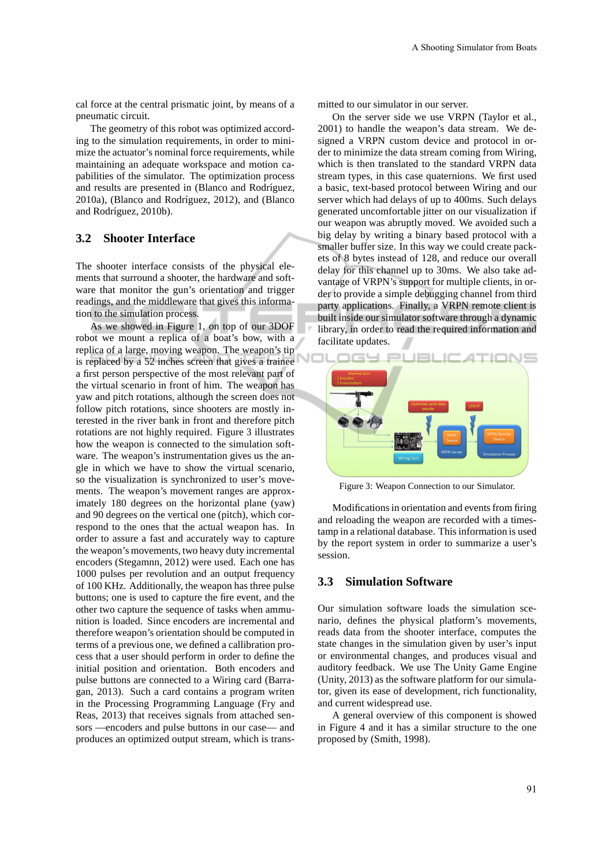cal force at the central prismatic joint, by means of a pneumatic circuit.

The geometry of this robot was optimized according to the simulation requirements, in order to minimize the actuator's nominal force requirements, while maintaining an adequate workspace and motion capabilities of the simulator. The optimization process and results are presented in (Blanco and Rodríguez, 2010a), (Blanco and Rodríguez, 2012), and (Blanco and Rodríguez, 2010b).

### **3.2 Shooter Interface**

The shooter interface consists of the physical elements that surround a shooter, the hardware and software that monitor the gun's orientation and trigger readings, and the middleware that gives this information to the simulation process.

As we showed in Figure 1, on top of our 3DOF robot we mount a replica of a boat's bow, with a replica of a large, moving weapon. The weapon's tip is replaced by a 52 inches screen that gives a trainee a first person perspective of the most relevant part of the virtual scenario in front of him. The weapon has yaw and pitch rotations, although the screen does not follow pitch rotations, since shooters are mostly interested in the river bank in front and therefore pitch rotations are not highly required. Figure 3 illustrates how the weapon is connected to the simulation software. The weapon's instrumentation gives us the angle in which we have to show the virtual scenario, so the visualization is synchronized to user's movements. The weapon's movement ranges are approximately 180 degrees on the horizontal plane (yaw) and 90 degrees on the vertical one (pitch), which correspond to the ones that the actual weapon has. In order to assure a fast and accurately way to capture the weapon's movements, two heavy duty incremental encoders (Stegamnn, 2012) were used. Each one has 1000 pulses per revolution and an output frequency of 100 KHz. Additionally, the weapon has three pulse buttons; one is used to capture the fire event, and the other two capture the sequence of tasks when ammunition is loaded. Since encoders are incremental and therefore weapon's orientation should be computed in terms of a previous one, we defined a callibration process that a user should perform in order to define the initial position and orientation. Both encoders and pulse buttons are connected to a Wiring card (Barragan, 2013). Such a card contains a program writen in the Processing Programming Language (Fry and Reas, 2013) that receives signals from attached sensors —encoders and pulse buttons in our case— and produces an optimized output stream, which is transmitted to our simulator in our server.

On the server side we use VRPN (Taylor et al., 2001) to handle the weapon's data stream. We designed a VRPN custom device and protocol in order to minimize the data stream coming from Wiring, which is then translated to the standard VRPN data stream types, in this case quaternions. We first used a basic, text-based protocol between Wiring and our server which had delays of up to 400ms. Such delays generated uncomfortable jitter on our visualization if our weapon was abruptly moved. We avoided such a big delay by writing a binary based protocol with a smaller buffer size. In this way we could create packets of 8 bytes instead of 128, and reduce our overall delay for this channel up to 30ms. We also take advantage of VRPN's support for multiple clients, in order to provide a simple debugging channel from third party applications. Finally, a VRPN remote client is built inside our simulator software through a dynamic library, in order to read the required information and facilitate updates.



Figure 3: Weapon Connection to our Simulator.

Modifications in orientation and events from firing and reloading the weapon are recorded with a timestamp in a relational database. This information is used by the report system in order to summarize a user's session.

### **3.3 Simulation Software**

Our simulation software loads the simulation scenario, defines the physical platform's movements, reads data from the shooter interface, computes the state changes in the simulation given by user's input or environmental changes, and produces visual and auditory feedback. We use The Unity Game Engine (Unity, 2013) as the software platform for our simulator, given its ease of development, rich functionality, and current widespread use.

A general overview of this component is showed in Figure 4 and it has a similar structure to the one proposed by (Smith, 1998).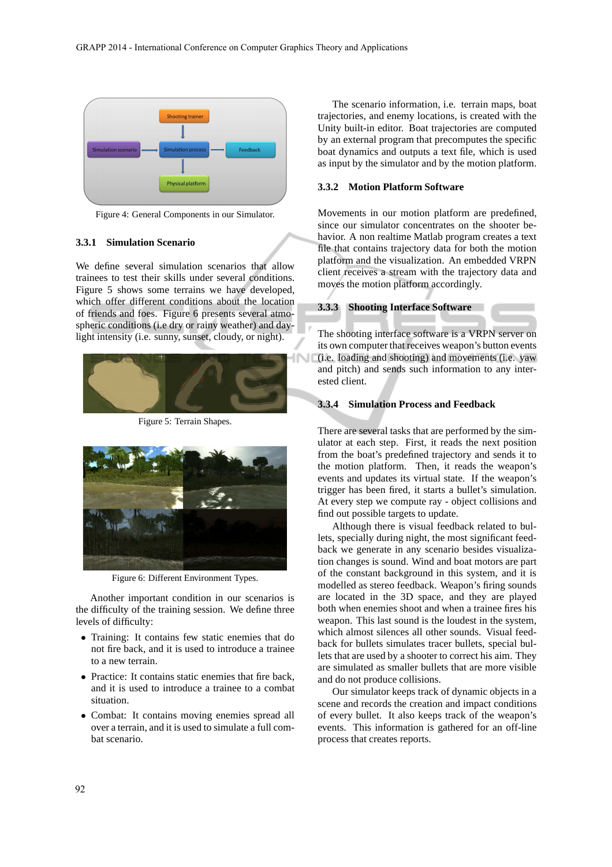

Figure 4: General Components in our Simulator.

#### **3.3.1 Simulation Scenario**

We define several simulation scenarios that allow trainees to test their skills under several conditions. Figure 5 shows some terrains we have developed, which offer different conditions about the location of friends and foes. Figure 6 presents several atmospheric conditions (i.e dry or rainy weather) and daylight intensity (i.e. sunny, sunset, cloudy, or night).



Figure 5: Terrain Shapes.



Figure 6: Different Environment Types.

Another important condition in our scenarios is the difficulty of the training session. We define three levels of difficulty:

- Training: It contains few static enemies that do not fire back, and it is used to introduce a trainee to a new terrain.
- Practice: It contains static enemies that fire back, and it is used to introduce a trainee to a combat situation.
- Combat: It contains moving enemies spread all over a terrain, and it is used to simulate a full combat scenario.

The scenario information, i.e. terrain maps, boat trajectories, and enemy locations, is created with the Unity built-in editor. Boat trajectories are computed by an external program that precomputes the specific boat dynamics and outputs a text file, which is used as input by the simulator and by the motion platform.

#### **3.3.2 Motion Platform Software**

Movements in our motion platform are predefined, since our simulator concentrates on the shooter behavior. A non realtime Matlab program creates a text file that contains trajectory data for both the motion platform and the visualization. An embedded VRPN client receives a stream with the trajectory data and moves the motion platform accordingly.

#### **3.3.3 Shooting Interface Software**

The shooting interface software is a VRPN server on its own computer that receives weapon's button events (i.e. loading and shooting) and movements (i.e. yaw and pitch) and sends such information to any interested client.

#### **3.3.4 Simulation Process and Feedback**

There are several tasks that are performed by the simulator at each step. First, it reads the next position from the boat's predefined trajectory and sends it to the motion platform. Then, it reads the weapon's events and updates its virtual state. If the weapon's trigger has been fired, it starts a bullet's simulation. At every step we compute ray - object collisions and find out possible targets to update.

Although there is visual feedback related to bullets, specially during night, the most significant feedback we generate in any scenario besides visualization changes is sound. Wind and boat motors are part of the constant background in this system, and it is modelled as stereo feedback. Weapon's firing sounds are located in the 3D space, and they are played both when enemies shoot and when a trainee fires his weapon. This last sound is the loudest in the system, which almost silences all other sounds. Visual feedback for bullets simulates tracer bullets, special bullets that are used by a shooter to correct his aim. They are simulated as smaller bullets that are more visible and do not produce collisions.

Our simulator keeps track of dynamic objects in a scene and records the creation and impact conditions of every bullet. It also keeps track of the weapon's events. This information is gathered for an off-line process that creates reports.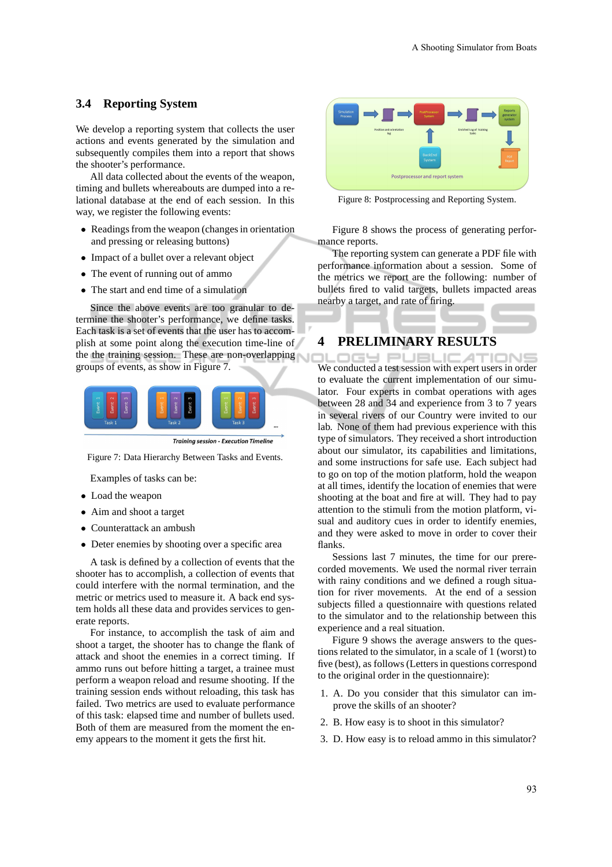### **3.4 Reporting System**

We develop a reporting system that collects the user actions and events generated by the simulation and subsequently compiles them into a report that shows the shooter's performance.

All data collected about the events of the weapon, timing and bullets whereabouts are dumped into a relational database at the end of each session. In this way, we register the following events:

- Readings from the weapon (changes in orientation and pressing or releasing buttons)
- Impact of a bullet over a relevant object
- The event of running out of ammo
- The start and end time of a simulation

Since the above events are too granular to determine the shooter's performance, we define tasks. Each task is a set of events that the user has to accomplish at some point along the execution time-line of the the training session. These are non-overlapping groups of events, as show in Figure 7.



**Training session - Execution Timeline** 

Figure 7: Data Hierarchy Between Tasks and Events.

Examples of tasks can be:

- Load the weapon
- Aim and shoot a target
- Counterattack an ambush
- Deter enemies by shooting over a specific area

A task is defined by a collection of events that the shooter has to accomplish, a collection of events that could interfere with the normal termination, and the metric or metrics used to measure it. A back end system holds all these data and provides services to generate reports.

For instance, to accomplish the task of aim and shoot a target, the shooter has to change the flank of attack and shoot the enemies in a correct timing. If ammo runs out before hitting a target, a trainee must perform a weapon reload and resume shooting. If the training session ends without reloading, this task has failed. Two metrics are used to evaluate performance of this task: elapsed time and number of bullets used. Both of them are measured from the moment the enemy appears to the moment it gets the first hit.



Figure 8: Postprocessing and Reporting System.

Figure 8 shows the process of generating performance reports.

The reporting system can generate a PDF file with performance information about a session. Some of the metrics we report are the following: number of bullets fired to valid targets, bullets impacted areas nearby a target, and rate of firing.

# **4 PRELIMINARY RESULTS**

OGY PUBLIC ATIONS We conducted a test session with expert users in order to evaluate the current implementation of our simulator. Four experts in combat operations with ages between 28 and 34 and experience from 3 to 7 years in several rivers of our Country were invited to our lab. None of them had previous experience with this type of simulators. They received a short introduction about our simulator, its capabilities and limitations, and some instructions for safe use. Each subject had to go on top of the motion platform, hold the weapon at all times, identify the location of enemies that were shooting at the boat and fire at will. They had to pay attention to the stimuli from the motion platform, visual and auditory cues in order to identify enemies, and they were asked to move in order to cover their flanks.

Sessions last 7 minutes, the time for our prerecorded movements. We used the normal river terrain with rainy conditions and we defined a rough situation for river movements. At the end of a session subjects filled a questionnaire with questions related to the simulator and to the relationship between this experience and a real situation.

Figure 9 shows the average answers to the questions related to the simulator, in a scale of 1 (worst) to five (best), as follows (Letters in questions correspond to the original order in the questionnaire):

- 1. A. Do you consider that this simulator can improve the skills of an shooter?
- 2. B. How easy is to shoot in this simulator?
- 3. D. How easy is to reload ammo in this simulator?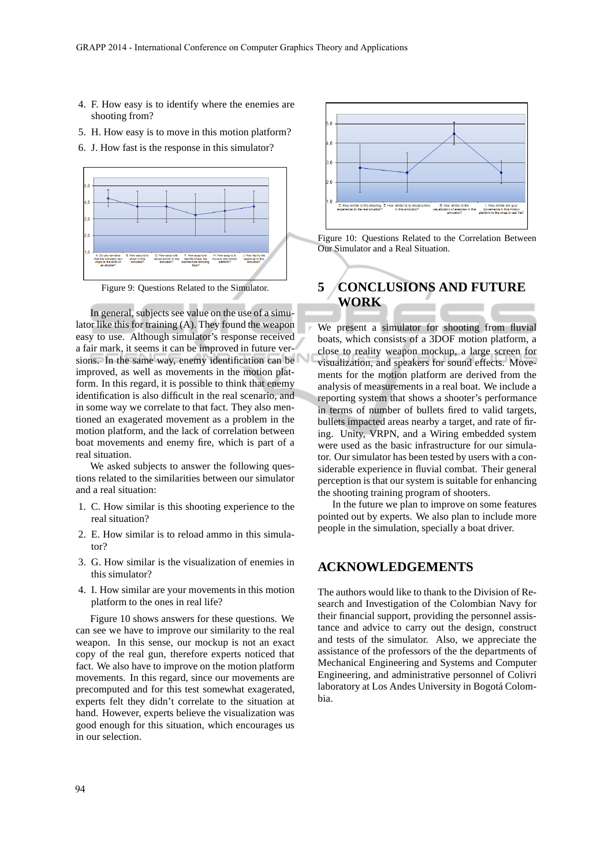- 4. F. How easy is to identify where the enemies are shooting from?
- 5. H. How easy is to move in this motion platform?
- 6. J. How fast is the response in this simulator?



In general, subjects see value on the use of a simulator like this for training (A). They found the weapon easy to use. Although simulator's response received a fair mark, it seems it can be improved in future versions. In the same way, enemy identification can be improved, as well as movements in the motion platform. In this regard, it is possible to think that enemy identification is also difficult in the real scenario, and in some way we correlate to that fact. They also mentioned an exagerated movement as a problem in the motion platform, and the lack of correlation between boat movements and enemy fire, which is part of a real situation.

We asked subjects to answer the following questions related to the similarities between our simulator and a real situation:

- 1. C. How similar is this shooting experience to the real situation?
- 2. E. How similar is to reload ammo in this simulator?
- 3. G. How similar is the visualization of enemies in this simulator?
- 4. I. How similar are your movements in this motion platform to the ones in real life?

Figure 10 shows answers for these questions. We can see we have to improve our similarity to the real weapon. In this sense, our mockup is not an exact copy of the real gun, therefore experts noticed that fact. We also have to improve on the motion platform movements. In this regard, since our movements are precomputed and for this test somewhat exagerated, experts felt they didn't correlate to the situation at hand. However, experts believe the visualization was good enough for this situation, which encourages us in our selection.





# **5 CONCLUSIONS AND FUTURE WORK**

We present a simulator for shooting from fluvial boats, which consists of a 3DOF motion platform, a close to reality weapon mockup, a large screen for visualization, and speakers for sound effects. Movements for the motion platform are derived from the analysis of measurements in a real boat. We include a reporting system that shows a shooter's performance in terms of number of bullets fired to valid targets, bullets impacted areas nearby a target, and rate of firing. Unity, VRPN, and a Wiring embedded system were used as the basic infrastructure for our simulator. Our simulator has been tested by users with a considerable experience in fluvial combat. Their general perception is that our system is suitable for enhancing the shooting training program of shooters.

In the future we plan to improve on some features pointed out by experts. We also plan to include more people in the simulation, specially a boat driver.

# **ACKNOWLEDGEMENTS**

The authors would like to thank to the Division of Research and Investigation of the Colombian Navy for their financial support, providing the personnel assistance and advice to carry out the design, construct and tests of the simulator. Also, we appreciate the assistance of the professors of the the departments of Mechanical Engineering and Systems and Computer Engineering, and administrative personnel of Colivri laboratory at Los Andes University in Bogotá Colombia.